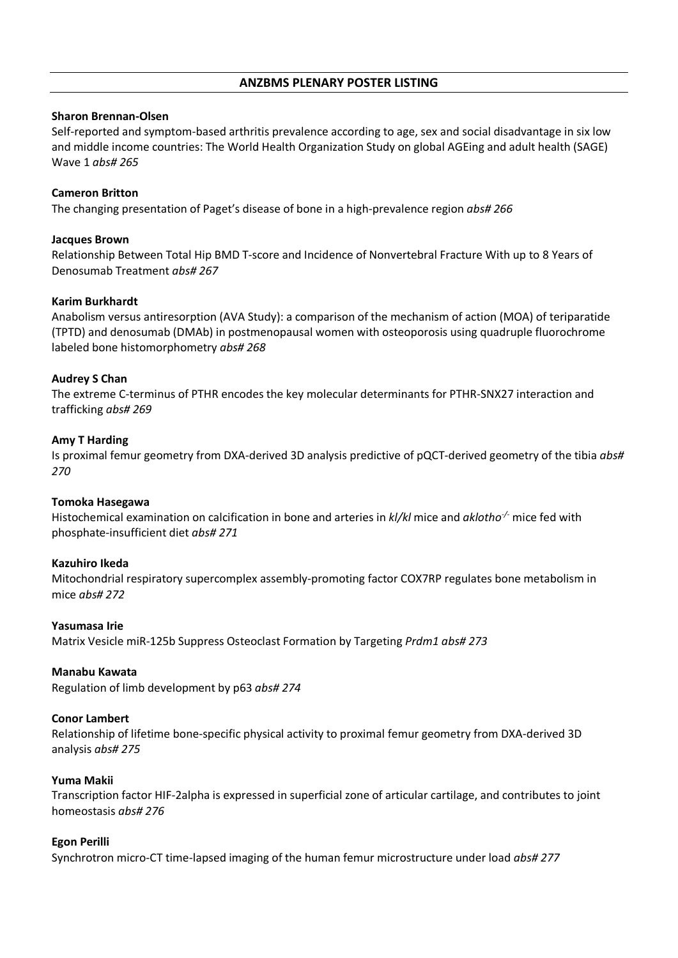# **ANZBMS PLENARY POSTER LISTING**

#### **Sharon Brennan-Olsen**

Self-reported and symptom-based arthritis prevalence according to age, sex and social disadvantage in six low and middle income countries: The World Health Organization Study on global AGEing and adult health (SAGE) Wave 1 *abs# 265*

#### **Cameron Britton**

The changing presentation of Paget's disease of bone in a high-prevalence region *abs# 266*

#### **Jacques Brown**

Relationship Between Total Hip BMD T-score and Incidence of Nonvertebral Fracture With up to 8 Years of Denosumab Treatment *abs# 267*

#### **Karim Burkhardt**

Anabolism versus antiresorption (AVA Study): a comparison of the mechanism of action (MOA) of teriparatide (TPTD) and denosumab (DMAb) in postmenopausal women with osteoporosis using quadruple fluorochrome labeled bone histomorphometry *abs# 268*

#### **Audrey S Chan**

The extreme C-terminus of PTHR encodes the key molecular determinants for PTHR-SNX27 interaction and trafficking *abs# 269*

#### **Amy T Harding**

Is proximal femur geometry from DXA-derived 3D analysis predictive of pQCT-derived geometry of the tibia *abs# 270*

#### **Tomoka Hasegawa**

Histochemical examination on calcification in bone and arteries in *kl/kl* mice and *aklotho-/-* mice fed with phosphate-insufficient diet *abs# 271*

#### **Kazuhiro Ikeda**

Mitochondrial respiratory supercomplex assembly-promoting factor COX7RP regulates bone metabolism in mice *abs# 272*

#### **Yasumasa Irie**

Matrix Vesicle miR-125b Suppress Osteoclast Formation by Targeting *Prdm1 abs# 273*

#### **Manabu Kawata**

Regulation of limb development by p63 *abs# 274*

#### **Conor Lambert**

Relationship of lifetime bone-specific physical activity to proximal femur geometry from DXA-derived 3D analysis *abs# 275*

#### **Yuma Makii**

Transcription factor HIF-2alpha is expressed in superficial zone of articular cartilage, and contributes to joint homeostasis *abs# 276*

#### **Egon Perilli**

Synchrotron micro-CT time-lapsed imaging of the human femur microstructure under load *abs# 277*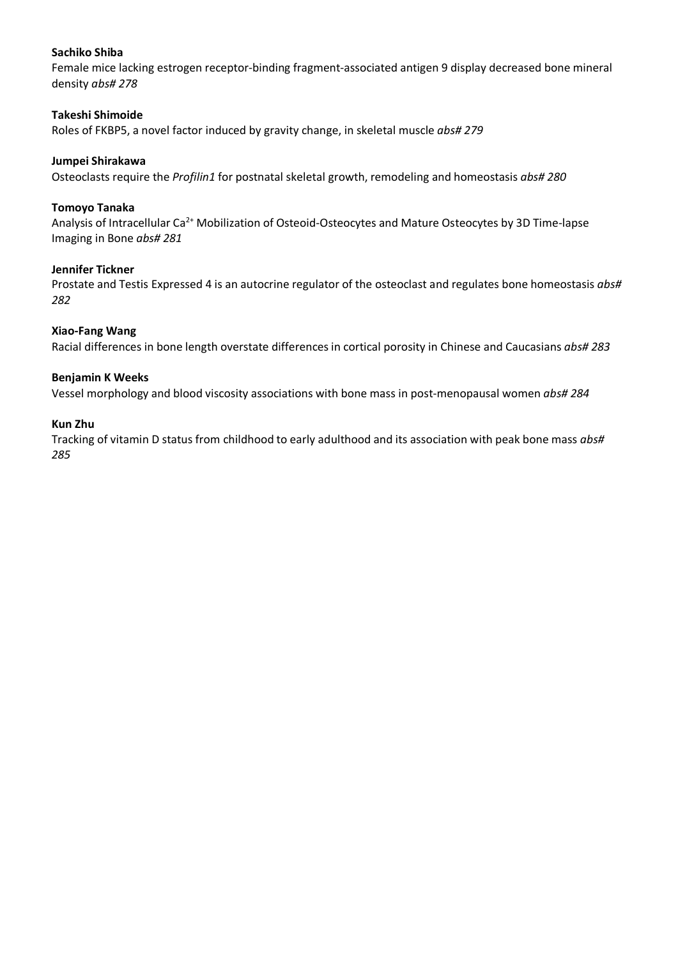## **Sachiko Shiba**

Female mice lacking estrogen receptor-binding fragment-associated antigen 9 display decreased bone mineral density *abs# 278*

## **Takeshi Shimoide**

Roles of FKBP5, a novel factor induced by gravity change, in skeletal muscle *abs# 279*

# **Jumpei Shirakawa**

Osteoclasts require the *Profilin1* for postnatal skeletal growth, remodeling and homeostasis *abs# 280*

## **Tomoyo Tanaka**

Analysis of Intracellular Ca<sup>2+</sup> Mobilization of Osteoid-Osteocytes and Mature Osteocytes by 3D Time-lapse Imaging in Bone *abs# 281*

### **Jennifer Tickner**

Prostate and Testis Expressed 4 is an autocrine regulator of the osteoclast and regulates bone homeostasis *abs# 282*

### **Xiao-Fang Wang**

Racial differences in bone length overstate differences in cortical porosity in Chinese and Caucasians *abs# 283*

# **Benjamin K Weeks**

Vessel morphology and blood viscosity associations with bone mass in post-menopausal women *abs# 284*

### **Kun Zhu**

Tracking of vitamin D status from childhood to early adulthood and its association with peak bone mass *abs# 285*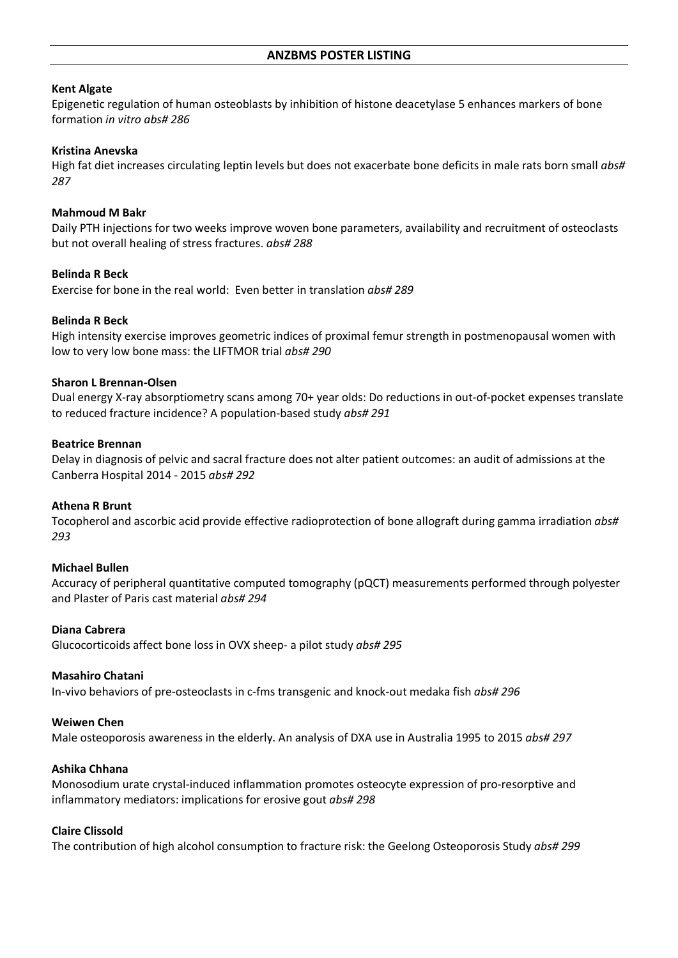## **Kent Algate**

Epigenetic regulation of human osteoblasts by inhibition of histone deacetylase 5 enhances markers of bone formation *in vitro abs# 286*

## **Kristina Anevska**

High fat diet increases circulating leptin levels but does not exacerbate bone deficits in male rats born small *abs# 287*

## **Mahmoud M Bakr**

Daily PTH injections for two weeks improve woven bone parameters, availability and recruitment of osteoclasts but not overall healing of stress fractures. *abs# 288*

# **Belinda R Beck**

Exercise for bone in the real world: Even better in translation *abs# 289*

# **Belinda R Beck**

High intensity exercise improves geometric indices of proximal femur strength in postmenopausal women with low to very low bone mass: the LIFTMOR trial *abs# 290*

# **Sharon L Brennan-Olsen**

Dual energy X-ray absorptiometry scans among 70+ year olds: Do reductions in out-of-pocket expenses translate to reduced fracture incidence? A population-based study *abs# 291*

### **Beatrice Brennan**

Delay in diagnosis of pelvic and sacral fracture does not alter patient outcomes: an audit of admissions at the Canberra Hospital 2014 - 2015 *abs# 292*

### **Athena R Brunt**

Tocopherol and ascorbic acid provide effective radioprotection of bone allograft during gamma irradiation *abs# 293*

### **Michael Bullen**

Accuracy of peripheral quantitative computed tomography (pQCT) measurements performed through polyester and Plaster of Paris cast material *abs# 294*

### **Diana Cabrera**

Glucocorticoids affect bone loss in OVX sheep- a pilot study *abs# 295*

### **Masahiro Chatani**

In-vivo behaviors of pre-osteoclasts in c-fms transgenic and knock-out medaka fish *abs# 296*

### **Weiwen Chen**

Male osteoporosis awareness in the elderly. An analysis of DXA use in Australia 1995 to 2015 *abs# 297*

### **Ashika Chhana**

Monosodium urate crystal-induced inflammation promotes osteocyte expression of pro-resorptive and inflammatory mediators: implications for erosive gout *abs# 298*

## **Claire Clissold**

The contribution of high alcohol consumption to fracture risk: the Geelong Osteoporosis Study *abs# 299*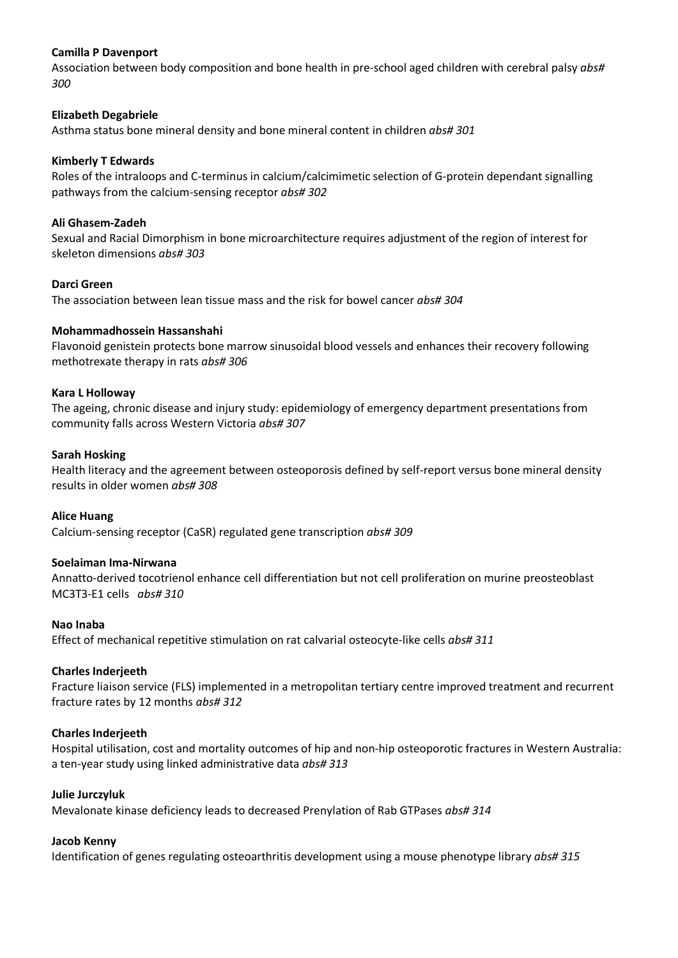# **Camilla P Davenport**

Association between body composition and bone health in pre-school aged children with cerebral palsy *abs# 300*

## **Elizabeth Degabriele**

Asthma status bone mineral density and bone mineral content in children *abs# 301*

# **Kimberly T Edwards**

Roles of the intraloops and C-terminus in calcium/calcimimetic selection of G-protein dependant signalling pathways from the calcium-sensing receptor *abs# 302*

# **Ali Ghasem-Zadeh**

Sexual and Racial Dimorphism in bone microarchitecture requires adjustment of the region of interest for skeleton dimensions *abs# 303*

### **Darci Green**

The association between lean tissue mass and the risk for bowel cancer *abs# 304*

# **Mohammadhossein Hassanshahi**

Flavonoid genistein protects bone marrow sinusoidal blood vessels and enhances their recovery following methotrexate therapy in rats *abs# 306*

### **Kara L Holloway**

The ageing, chronic disease and injury study: epidemiology of emergency department presentations from community falls across Western Victoria *abs# 307*

### **Sarah Hosking**

Health literacy and the agreement between osteoporosis defined by self-report versus bone mineral density results in older women *abs# 308*

### **Alice Huang**

Calcium-sensing receptor (CaSR) regulated gene transcription *abs# 309*

### **Soelaiman Ima-Nirwana**

Annatto-derived tocotrienol enhance cell differentiation but not cell proliferation on murine preosteoblast MC3T3-E1 cells *abs# 310*

### **Nao Inaba**

Effect of mechanical repetitive stimulation on rat calvarial osteocyte-like cells *abs# 311*

### **Charles Inderjeeth**

Fracture liaison service (FLS) implemented in a metropolitan tertiary centre improved treatment and recurrent fracture rates by 12 months *abs# 312*

### **Charles Inderjeeth**

Hospital utilisation, cost and mortality outcomes of hip and non-hip osteoporotic fractures in Western Australia: a ten-year study using linked administrative data *abs# 313*

### **Julie Jurczyluk**

Mevalonate kinase deficiency leads to decreased Prenylation of Rab GTPases *abs# 314*

### **Jacob Kenny**

Identification of genes regulating osteoarthritis development using a mouse phenotype library *abs# 315*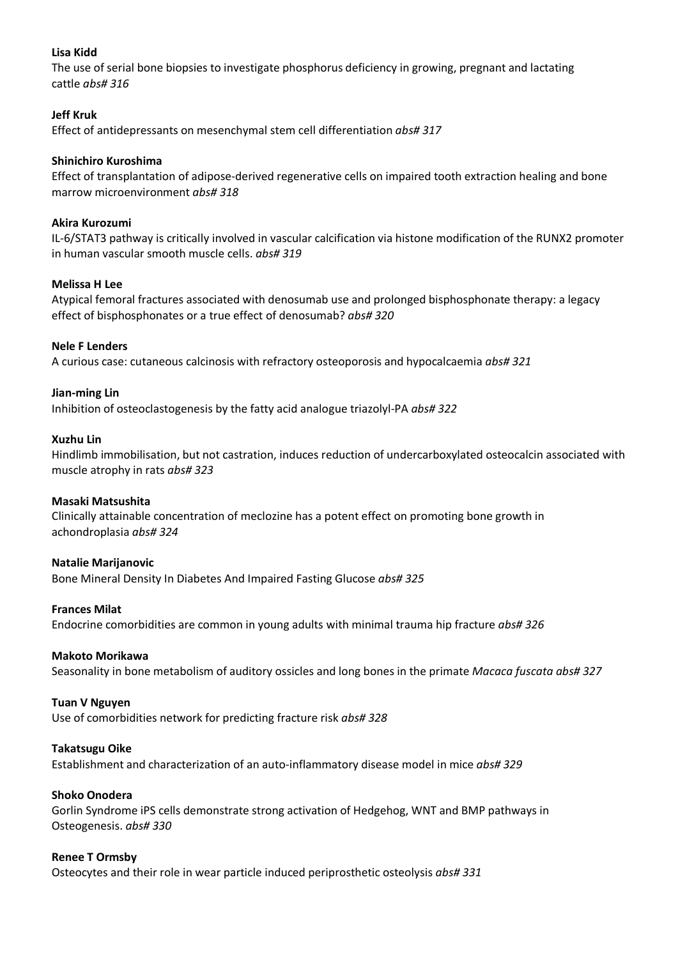# **Lisa Kidd**

The use of serial bone biopsies to investigate phosphorus deficiency in growing, pregnant and lactating cattle *abs# 316*

# **Jeff Kruk**

Effect of antidepressants on mesenchymal stem cell differentiation *abs# 317*

# **Shinichiro Kuroshima**

Effect of transplantation of adipose-derived regenerative cells on impaired tooth extraction healing and bone marrow microenvironment *abs# 318*

## **Akira Kurozumi**

IL-6/STAT3 pathway is critically involved in vascular calcification via histone modification of the RUNX2 promoter in human vascular smooth muscle cells. *abs# 319*

### **Melissa H Lee**

Atypical femoral fractures associated with denosumab use and prolonged bisphosphonate therapy: a legacy effect of bisphosphonates or a true effect of denosumab? *abs# 320*

## **Nele F Lenders**

A curious case: cutaneous calcinosis with refractory osteoporosis and hypocalcaemia *abs# 321*

### **Jian-ming Lin**

Inhibition of osteoclastogenesis by the fatty acid analogue triazolyl-PA *abs# 322*

# **Xuzhu Lin**

Hindlimb immobilisation, but not castration, induces reduction of undercarboxylated osteocalcin associated with muscle atrophy in rats *abs# 323*

### **Masaki Matsushita**

Clinically attainable concentration of meclozine has a potent effect on promoting bone growth in achondroplasia *abs# 324*

### **Natalie Marijanovic**

Bone Mineral Density In Diabetes And Impaired Fasting Glucose *abs# 325*

### **Frances Milat**

Endocrine comorbidities are common in young adults with minimal trauma hip fracture *abs# 326*

### **Makoto Morikawa**

Seasonality in bone metabolism of auditory ossicles and long bones in the primate *Macaca fuscata abs# 327*

### **Tuan V Nguyen**

Use of comorbidities network for predicting fracture risk *abs# 328*

### **Takatsugu Oike**

Establishment and characterization of an auto-inflammatory disease model in mice *abs# 329*

### **Shoko Onodera**

Gorlin Syndrome iPS cells demonstrate strong activation of Hedgehog, WNT and BMP pathways in Osteogenesis. *abs# 330*

### **Renee T Ormsby**

Osteocytes and their role in wear particle induced periprosthetic osteolysis *abs# 331*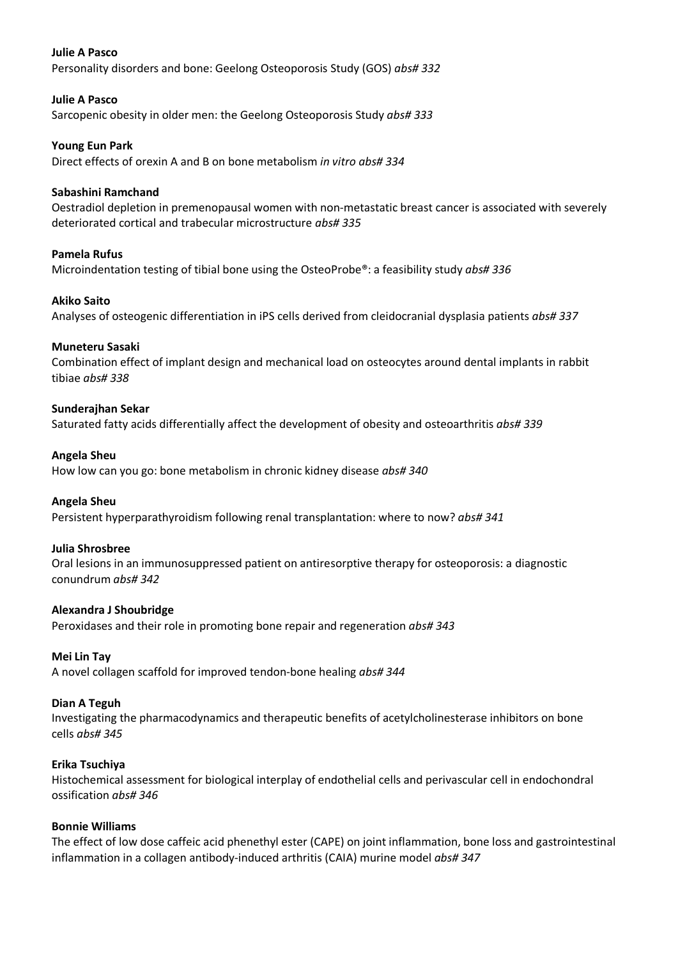# **Julie A Pasco**

Personality disorders and bone: Geelong Osteoporosis Study (GOS) *abs# 332*

# **Julie A Pasco**

Sarcopenic obesity in older men: the Geelong Osteoporosis Study *abs# 333*

## **Young Eun Park**

Direct effects of orexin A and B on bone metabolism *in vitro abs# 334*

# **Sabashini Ramchand**

Oestradiol depletion in premenopausal women with non-metastatic breast cancer is associated with severely deteriorated cortical and trabecular microstructure *abs# 335*

# **Pamela Rufus**

Microindentation testing of tibial bone using the OsteoProbe®: a feasibility study *abs# 336*

# **Akiko Saito**

Analyses of osteogenic differentiation in iPS cells derived from cleidocranial dysplasia patients *abs# 337*

# **Muneteru Sasaki**

Combination effect of implant design and mechanical load on osteocytes around dental implants in rabbit tibiae *abs# 338*

# **Sunderajhan Sekar**

Saturated fatty acids differentially affect the development of obesity and osteoarthritis *abs# 339*

# **Angela Sheu**

How low can you go: bone metabolism in chronic kidney disease *abs# 340*

### **Angela Sheu**

Persistent hyperparathyroidism following renal transplantation: where to now? *abs# 341*

### **Julia Shrosbree**

Oral lesions in an immunosuppressed patient on antiresorptive therapy for osteoporosis: a diagnostic conundrum *abs# 342*

### **Alexandra J Shoubridge**

Peroxidases and their role in promoting bone repair and regeneration *abs# 343*

### **Mei Lin Tay**

A novel collagen scaffold for improved tendon-bone healing *abs# 344*

# **Dian A Teguh**

Investigating the pharmacodynamics and therapeutic benefits of acetylcholinesterase inhibitors on bone cells *abs# 345*

# **Erika Tsuchiya**

Histochemical assessment for biological interplay of endothelial cells and perivascular cell in endochondral ossification *abs# 346*

# **Bonnie Williams**

The effect of low dose caffeic acid phenethyl ester (CAPE) on joint inflammation, bone loss and gastrointestinal inflammation in a collagen antibody-induced arthritis (CAIA) murine model *abs# 347*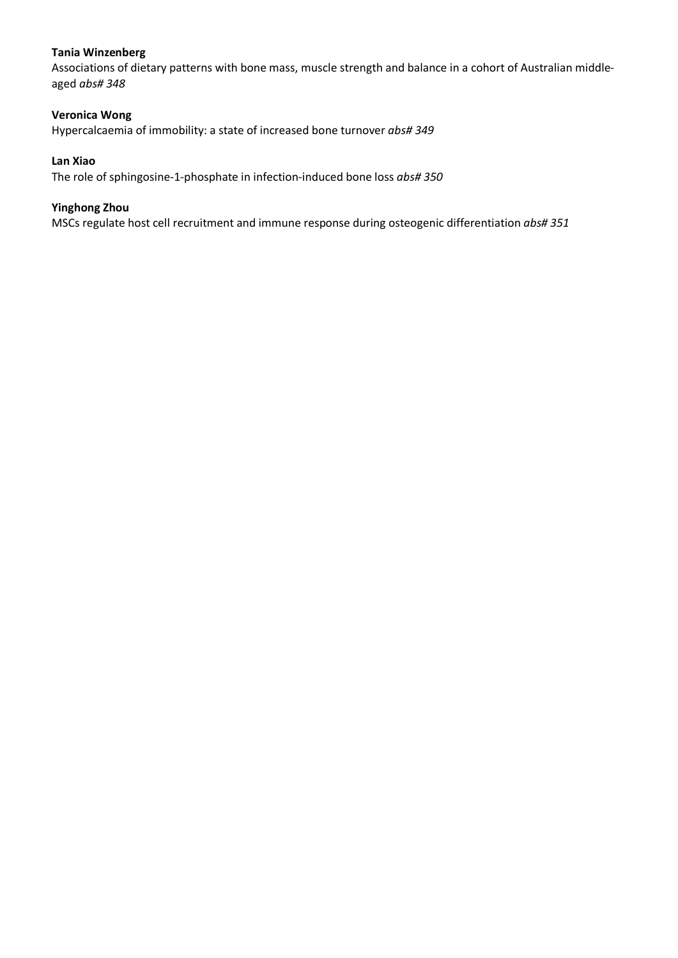# **Tania Winzenberg**

Associations of dietary patterns with bone mass, muscle strength and balance in a cohort of Australian middleaged *abs# 348*

# **Veronica Wong**

Hypercalcaemia of immobility: a state of increased bone turnover *abs# 349*

## **Lan Xiao**

The role of sphingosine-1-phosphate in infection-induced bone loss *abs# 350*

# **Yinghong Zhou**

MSCs regulate host cell recruitment and immune response during osteogenic differentiation *abs# 351*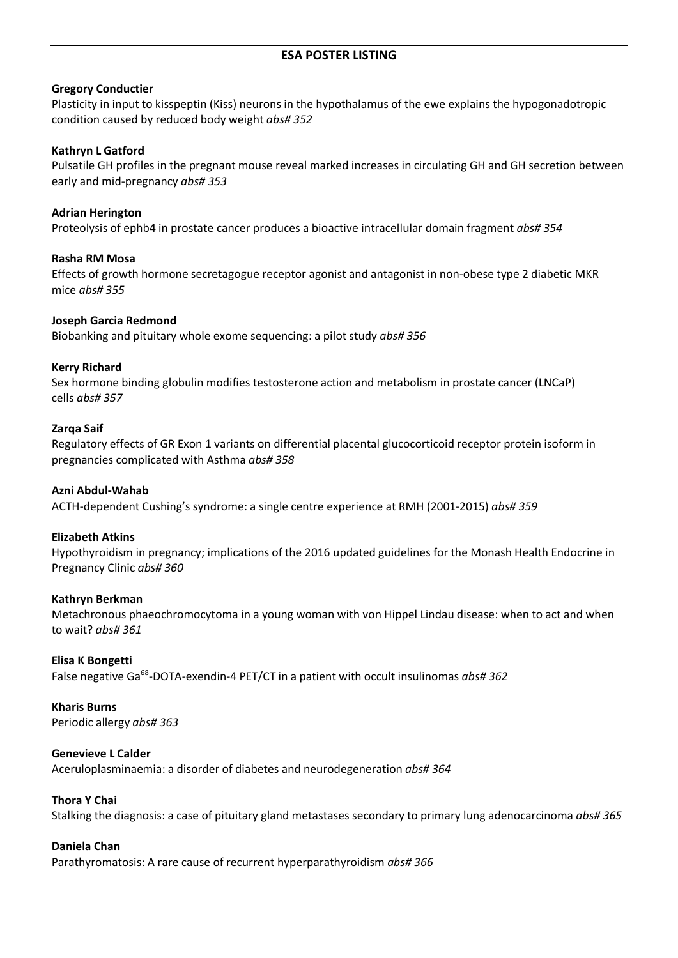### **Gregory Conductier**

Plasticity in input to kisspeptin (Kiss) neurons in the hypothalamus of the ewe explains the hypogonadotropic condition caused by reduced body weight *abs# 352*

#### **Kathryn L Gatford**

Pulsatile GH profiles in the pregnant mouse reveal marked increases in circulating GH and GH secretion between early and mid-pregnancy *abs# 353*

#### **Adrian Herington**

Proteolysis of ephb4 in prostate cancer produces a bioactive intracellular domain fragment *abs# 354*

#### **Rasha RM Mosa**

Effects of growth hormone secretagogue receptor agonist and antagonist in non-obese type 2 diabetic MKR mice *abs# 355*

## **Joseph Garcia Redmond**

Biobanking and pituitary whole exome sequencing: a pilot study *abs# 356*

#### **Kerry Richard**

Sex hormone binding globulin modifies testosterone action and metabolism in prostate cancer (LNCaP) cells *abs# 357*

#### **Zarqa Saif**

Regulatory effects of GR Exon 1 variants on differential placental glucocorticoid receptor protein isoform in pregnancies complicated with Asthma *abs# 358*

#### **Azni Abdul-Wahab**

ACTH-dependent Cushing's syndrome: a single centre experience at RMH (2001-2015) *abs# 359*

### **Elizabeth Atkins**

Hypothyroidism in pregnancy; implications of the 2016 updated guidelines for the Monash Health Endocrine in Pregnancy Clinic *abs# 360*

### **Kathryn Berkman**

Metachronous phaeochromocytoma in a young woman with von Hippel Lindau disease: when to act and when to wait? *abs# 361*

#### **Elisa K Bongetti**

False negative Ga68-DOTA-exendin-4 PET/CT in a patient with occult insulinomas *abs# 362*

#### **Kharis Burns**

Periodic allergy *abs# 363*

#### **Genevieve L Calder**

Aceruloplasminaemia: a disorder of diabetes and neurodegeneration *abs# 364*

### **Thora Y Chai**

Stalking the diagnosis: a case of pituitary gland metastases secondary to primary lung adenocarcinoma *abs# 365*

#### **Daniela Chan**

Parathyromatosis: A rare cause of recurrent hyperparathyroidism *abs# 366*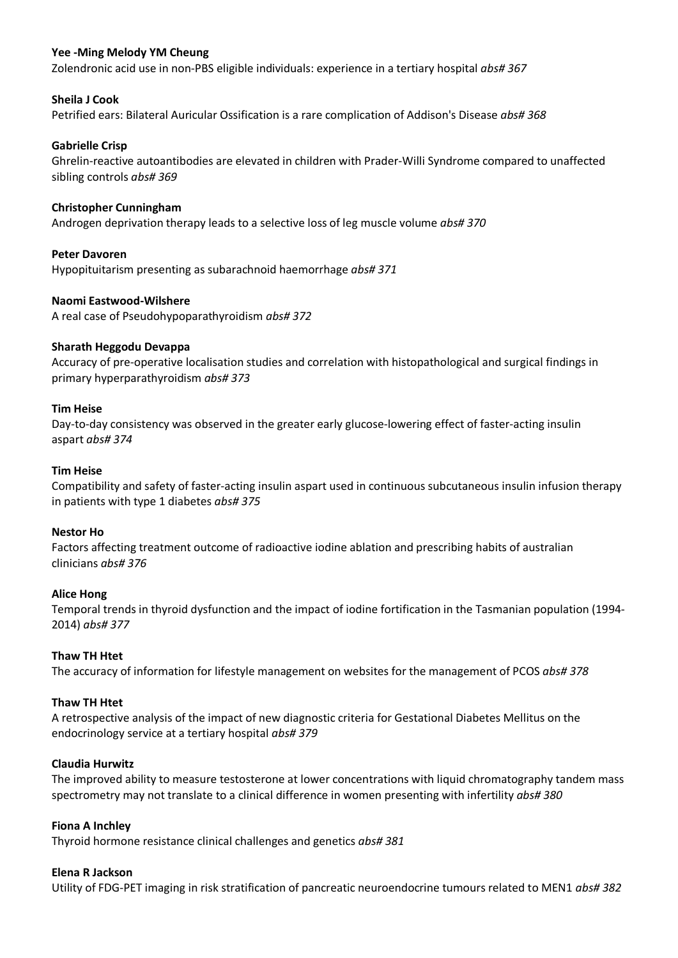# **Yee -Ming Melody YM Cheung**

Zolendronic acid use in non-PBS eligible individuals: experience in a tertiary hospital *abs# 367*

## **Sheila J Cook**

Petrified ears: Bilateral Auricular Ossification is a rare complication of Addison's Disease *abs# 368*

## **Gabrielle Crisp**

Ghrelin-reactive autoantibodies are elevated in children with Prader-Willi Syndrome compared to unaffected sibling controls *abs# 369*

## **Christopher Cunningham**

Androgen deprivation therapy leads to a selective loss of leg muscle volume *abs# 370*

# **Peter Davoren**

Hypopituitarism presenting as subarachnoid haemorrhage *abs# 371*

### **Naomi Eastwood-Wilshere**

A real case of Pseudohypoparathyroidism *abs# 372*

### **Sharath Heggodu Devappa**

Accuracy of pre-operative localisation studies and correlation with histopathological and surgical findings in primary hyperparathyroidism *abs# 373*

### **Tim Heise**

Day-to-day consistency was observed in the greater early glucose-lowering effect of faster-acting insulin aspart *abs# 374*

### **Tim Heise**

Compatibility and safety of faster-acting insulin aspart used in continuous subcutaneous insulin infusion therapy in patients with type 1 diabetes *abs# 375*

### **Nestor Ho**

Factors affecting treatment outcome of radioactive iodine ablation and prescribing habits of australian clinicians *abs# 376*

### **Alice Hong**

Temporal trends in thyroid dysfunction and the impact of iodine fortification in the Tasmanian population (1994- 2014) *abs# 377*

### **Thaw TH Htet**

The accuracy of information for lifestyle management on websites for the management of PCOS *abs# 378*

# **Thaw TH Htet**

A retrospective analysis of the impact of new diagnostic criteria for Gestational Diabetes Mellitus on the endocrinology service at a tertiary hospital *abs# 379*

## **Claudia Hurwitz**

The improved ability to measure testosterone at lower concentrations with liquid chromatography tandem mass spectrometry may not translate to a clinical difference in women presenting with infertility *abs# 380*

### **Fiona A Inchley**

Thyroid hormone resistance clinical challenges and genetics *abs# 381*

### **Elena R Jackson**

Utility of FDG-PET imaging in risk stratification of pancreatic neuroendocrine tumours related to MEN1 *abs# 382*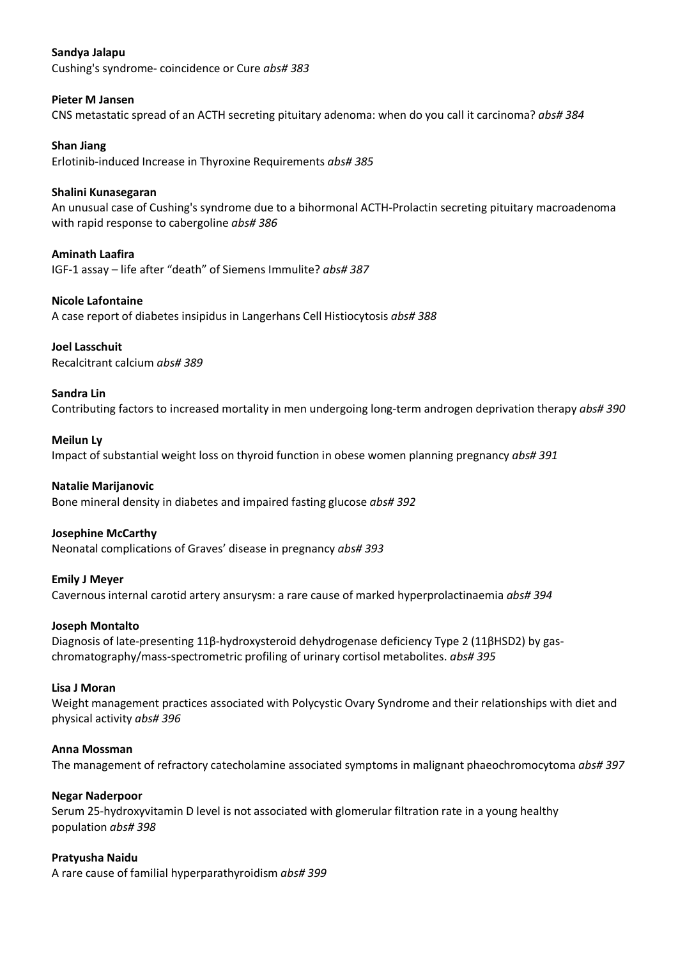# **Sandya Jalapu**

Cushing's syndrome- coincidence or Cure *abs# 383*

# **Pieter M Jansen**

CNS metastatic spread of an ACTH secreting pituitary adenoma: when do you call it carcinoma? *abs# 384*

## **Shan Jiang**

Erlotinib-induced Increase in Thyroxine Requirements *abs# 385*

## **Shalini Kunasegaran**

An unusual case of Cushing's syndrome due to a bihormonal ACTH-Prolactin secreting pituitary macroadenoma with rapid response to cabergoline *abs# 386*

# **Aminath Laafira**

IGF-1 assay – life after "death" of Siemens Immulite? *abs# 387*

### **Nicole Lafontaine**

A case report of diabetes insipidus in Langerhans Cell Histiocytosis *abs# 388*

### **Joel Lasschuit**

Recalcitrant calcium *abs# 389*

### **Sandra Lin**

Contributing factors to increased mortality in men undergoing long-term androgen deprivation therapy *abs# 390*

### **Meilun Ly**

Impact of substantial weight loss on thyroid function in obese women planning pregnancy *abs# 391*

## **Natalie Marijanovic**

Bone mineral density in diabetes and impaired fasting glucose *abs# 392*

### **Josephine McCarthy**

Neonatal complications of Graves' disease in pregnancy *abs# 393*

### **Emily J Meyer**

Cavernous internal carotid artery ansurysm: a rare cause of marked hyperprolactinaemia *abs# 394*

### **Joseph Montalto**

Diagnosis of late-presenting 11β-hydroxysteroid dehydrogenase deficiency Type 2 (11βHSD2) by gaschromatography/mass-spectrometric profiling of urinary cortisol metabolites. *abs# 395*

### **Lisa J Moran**

Weight management practices associated with Polycystic Ovary Syndrome and their relationships with diet and physical activity *abs# 396*

### **Anna Mossman**

The management of refractory catecholamine associated symptoms in malignant phaeochromocytoma *abs# 397*

### **Negar Naderpoor**

Serum 25-hydroxyvitamin D level is not associated with glomerular filtration rate in a young healthy population *abs# 398*

### **Pratyusha Naidu**

A rare cause of familial hyperparathyroidism *abs# 399*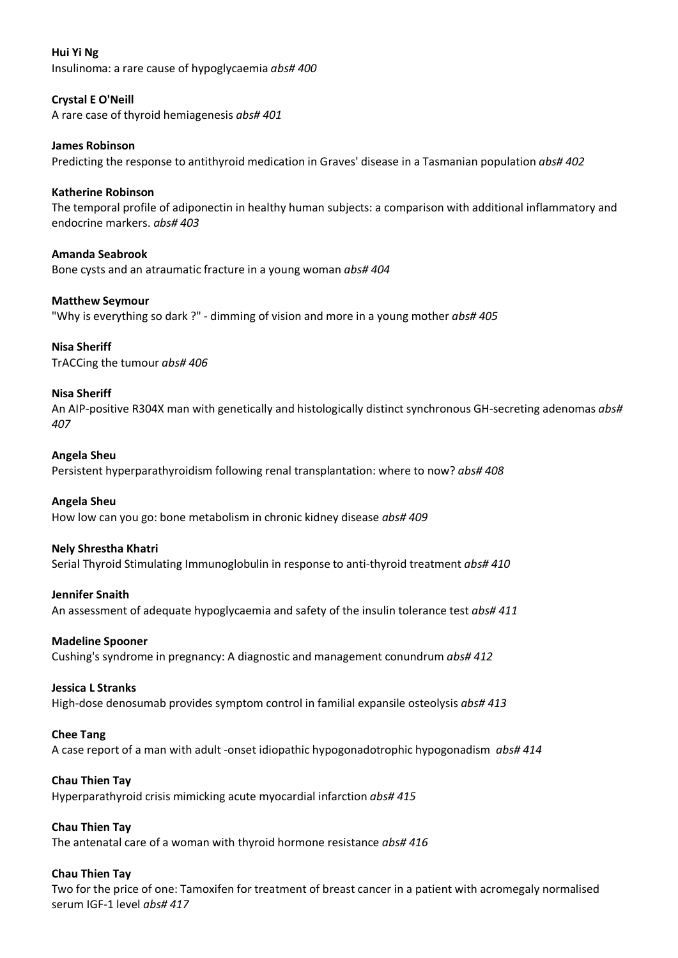# **Hui Yi Ng** Insulinoma: a rare cause of hypoglycaemia *abs# 400*

# **Crystal E O'Neill** A rare case of thyroid hemiagenesis *abs# 401*

**James Robinson** Predicting the response to antithyroid medication in Graves' disease in a Tasmanian population *abs# 402*

# **Katherine Robinson**

The temporal profile of adiponectin in healthy human subjects: a comparison with additional inflammatory and endocrine markers. *abs# 403*

**Amanda Seabrook** Bone cysts and an atraumatic fracture in a young woman *abs# 404*

**Matthew Seymour**

"Why is everything so dark ?" - dimming of vision and more in a young mother *abs# 405*

# **Nisa Sheriff**

TrACCing the tumour *abs# 406*

# **Nisa Sheriff**

An AIP-positive R304X man with genetically and histologically distinct synchronous GH-secreting adenomas *abs# 407*

# **Angela Sheu**

Persistent hyperparathyroidism following renal transplantation: where to now? *abs# 408*

# **Angela Sheu**

How low can you go: bone metabolism in chronic kidney disease *abs# 409*

# **Nely Shrestha Khatri**

Serial Thyroid Stimulating Immunoglobulin in response to anti-thyroid treatment *abs# 410*

### **Jennifer Snaith**

An assessment of adequate hypoglycaemia and safety of the insulin tolerance test *abs# 411*

# **Madeline Spooner**

Cushing's syndrome in pregnancy: A diagnostic and management conundrum *abs# 412*

### **Jessica L Stranks**

High-dose denosumab provides symptom control in familial expansile osteolysis *abs# 413*

### **Chee Tang**

A case report of a man with adult -onset idiopathic hypogonadotrophic hypogonadism *abs# 414*

### **Chau Thien Tay**

Hyperparathyroid crisis mimicking acute myocardial infarction *abs# 415*

### **Chau Thien Tay**

The antenatal care of a woman with thyroid hormone resistance *abs# 416*

# **Chau Thien Tay**

Two for the price of one: Tamoxifen for treatment of breast cancer in a patient with acromegaly normalised serum IGF-1 level *abs# 417*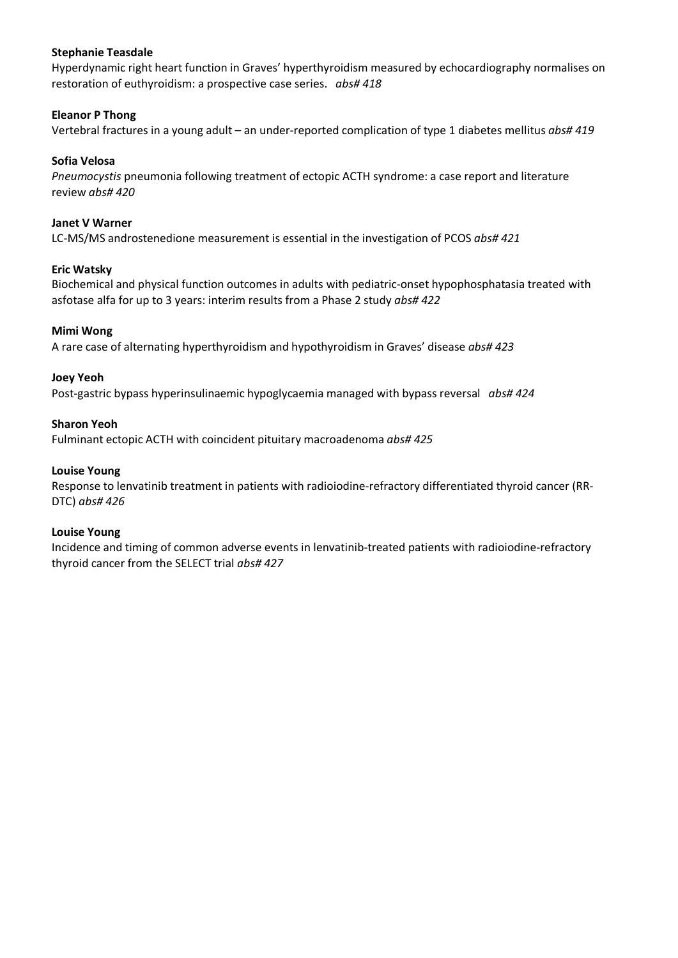## **Stephanie Teasdale**

Hyperdynamic right heart function in Graves' hyperthyroidism measured by echocardiography normalises on restoration of euthyroidism: a prospective case series. *abs# 418*

# **Eleanor P Thong**

Vertebral fractures in a young adult – an under-reported complication of type 1 diabetes mellitus *abs# 419*

# **Sofia Velosa**

*Pneumocystis* pneumonia following treatment of ectopic ACTH syndrome: a case report and literature review *abs# 420*

# **Janet V Warner**

LC-MS/MS androstenedione measurement is essential in the investigation of PCOS *abs# 421*

# **Eric Watsky**

Biochemical and physical function outcomes in adults with pediatric-onset hypophosphatasia treated with asfotase alfa for up to 3 years: interim results from a Phase 2 study *abs# 422*

### **Mimi Wong**

A rare case of alternating hyperthyroidism and hypothyroidism in Graves' disease *abs# 423*

### **Joey Yeoh**

Post-gastric bypass hyperinsulinaemic hypoglycaemia managed with bypass reversal *abs# 424*

### **Sharon Yeoh**

Fulminant ectopic ACTH with coincident pituitary macroadenoma *abs# 425*

# **Louise Young**

Response to lenvatinib treatment in patients with radioiodine-refractory differentiated thyroid cancer (RR-DTC) *abs# 426*

### **Louise Young**

Incidence and timing of common adverse events in lenvatinib-treated patients with radioiodine-refractory thyroid cancer from the SELECT trial *abs# 427*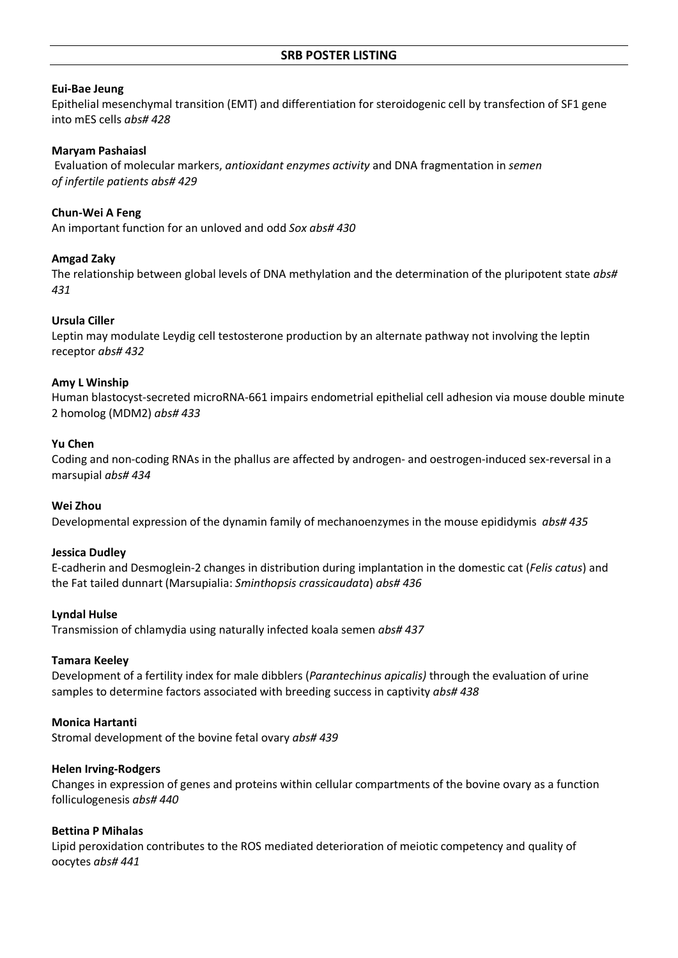### **Eui-Bae Jeung**

Epithelial mesenchymal transition (EMT) and differentiation for steroidogenic cell by transfection of SF1 gene into mES cells *abs# 428*

#### **Maryam Pashaiasl**

Evaluation of molecular markers, *antioxidant enzymes activity* and DNA fragmentation in *semen of infertile patients abs# 429*

### **Chun-Wei A Feng**

An important function for an unloved and odd *Sox abs# 430*

#### **Amgad Zaky**

The relationship between global levels of DNA methylation and the determination of the pluripotent state *abs# 431*

## **Ursula Ciller**

Leptin may modulate Leydig cell testosterone production by an alternate pathway not involving the leptin receptor *abs# 432*

#### **Amy L Winship**

Human blastocyst-secreted microRNA-661 impairs endometrial epithelial cell adhesion via mouse double minute 2 homolog (MDM2) *abs# 433*

#### **Yu Chen**

Coding and non-coding RNAs in the phallus are affected by androgen- and oestrogen-induced sex-reversal in a marsupial *abs# 434*

#### **Wei Zhou**

Developmental expression of the dynamin family of mechanoenzymes in the mouse epididymis *abs# 435*

#### **Jessica Dudley**

E-cadherin and Desmoglein-2 changes in distribution during implantation in the domestic cat (*Felis catus*) and the Fat tailed dunnart (Marsupialia: *Sminthopsis crassicaudata*) *abs# 436*

#### **Lyndal Hulse**

Transmission of chlamydia using naturally infected koala semen *abs# 437*

#### **Tamara Keeley**

Development of a fertility index for male dibblers (*Parantechinus apicalis)* through the evaluation of urine samples to determine factors associated with breeding success in captivity *abs# 438*

#### **Monica Hartanti**

Stromal development of the bovine fetal ovary *abs# 439*

#### **Helen Irving-Rodgers**

Changes in expression of genes and proteins within cellular compartments of the bovine ovary as a function folliculogenesis *abs# 440*

#### **Bettina P Mihalas**

Lipid peroxidation contributes to the ROS mediated deterioration of meiotic competency and quality of oocytes *abs# 441*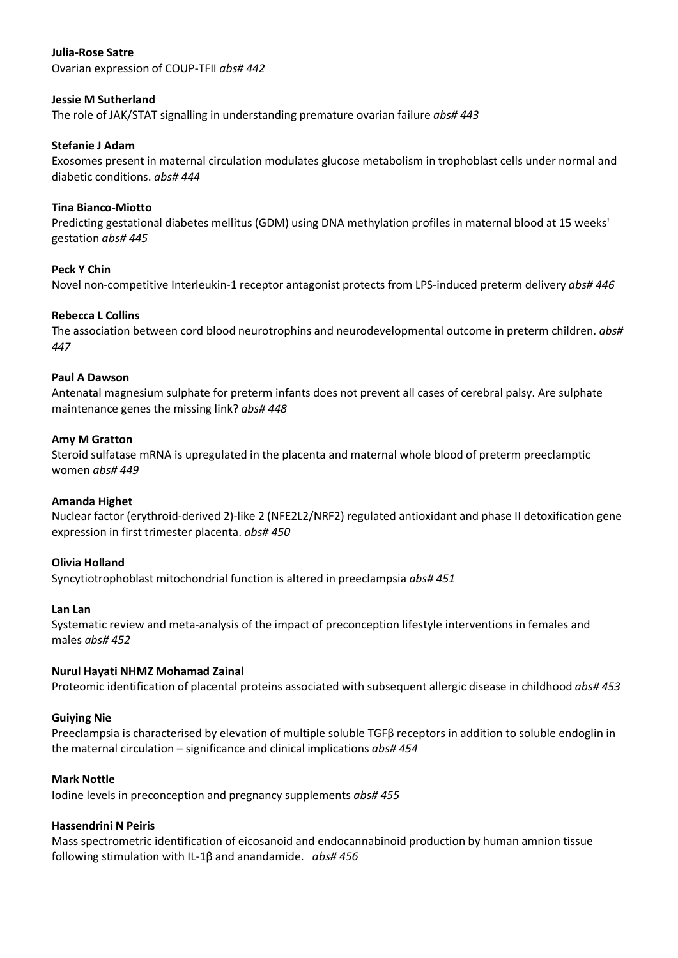# **Julia-Rose Satre**

Ovarian expression of COUP-TFII *abs# 442*

## **Jessie M Sutherland**

The role of JAK/STAT signalling in understanding premature ovarian failure *abs# 443*

### **Stefanie J Adam**

Exosomes present in maternal circulation modulates glucose metabolism in trophoblast cells under normal and diabetic conditions. *abs# 444*

### **Tina Bianco-Miotto**

Predicting gestational diabetes mellitus (GDM) using DNA methylation profiles in maternal blood at 15 weeks' gestation *abs# 445*

## **Peck Y Chin**

Novel non-competitive Interleukin-1 receptor antagonist protects from LPS-induced preterm delivery *abs# 446*

### **Rebecca L Collins**

The association between cord blood neurotrophins and neurodevelopmental outcome in preterm children. *abs# 447*

## **Paul A Dawson**

Antenatal magnesium sulphate for preterm infants does not prevent all cases of cerebral palsy. Are sulphate maintenance genes the missing link? *abs# 448*

### **Amy M Gratton**

Steroid sulfatase mRNA is upregulated in the placenta and maternal whole blood of preterm preeclamptic women *abs# 449*

### **Amanda Highet**

Nuclear factor (erythroid-derived 2)-like 2 (NFE2L2/NRF2) regulated antioxidant and phase II detoxification gene expression in first trimester placenta. *abs# 450*

### **Olivia Holland**

Syncytiotrophoblast mitochondrial function is altered in preeclampsia *abs# 451*

### **Lan Lan**

Systematic review and meta-analysis of the impact of preconception lifestyle interventions in females and males *abs# 452*

### **Nurul Hayati NHMZ Mohamad Zainal**

Proteomic identification of placental proteins associated with subsequent allergic disease in childhood *abs# 453*

### **Guiying Nie**

Preeclampsia is characterised by elevation of multiple soluble TGFβ receptors in addition to soluble endoglin in the maternal circulation – significance and clinical implications *abs# 454*

### **Mark Nottle**

Iodine levels in preconception and pregnancy supplements *abs# 455*

### **Hassendrini N Peiris**

Mass spectrometric identification of eicosanoid and endocannabinoid production by human amnion tissue following stimulation with IL-1β and anandamide. *abs# 456*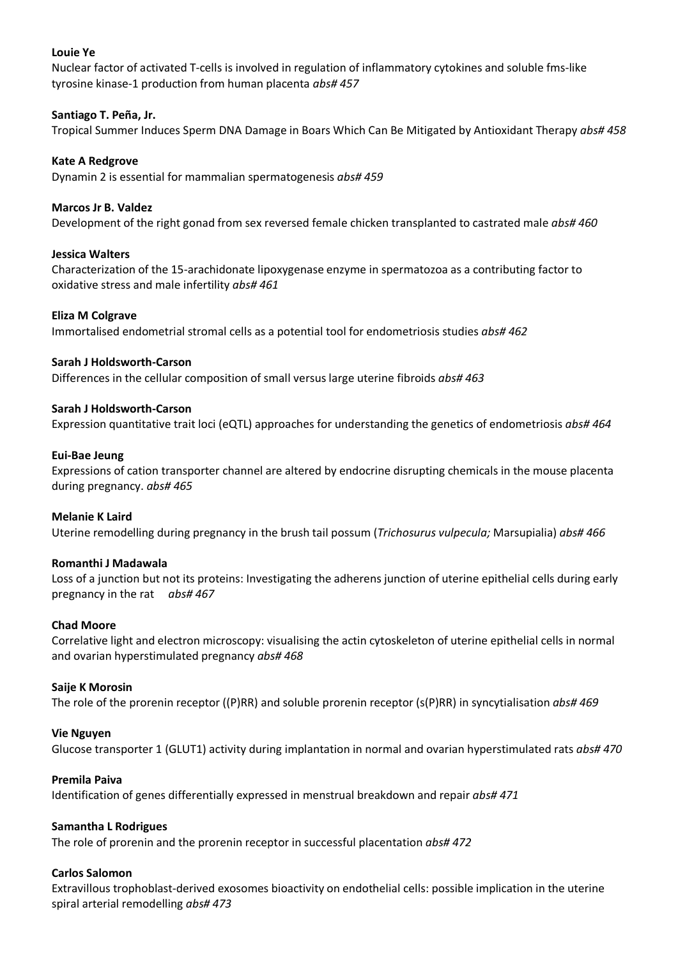# **Louie Ye**

Nuclear factor of activated T-cells is involved in regulation of inflammatory cytokines and soluble fms-like tyrosine kinase-1 production from human placenta *abs# 457*

# **Santiago T. Peña, Jr.**

Tropical Summer Induces Sperm DNA Damage in Boars Which Can Be Mitigated by Antioxidant Therapy *abs# 458*

# **Kate A Redgrove**

Dynamin 2 is essential for mammalian spermatogenesis *abs# 459*

# **Marcos Jr B. Valdez**

Development of the right gonad from sex reversed female chicken transplanted to castrated male *abs# 460*

### **Jessica Walters**

Characterization of the 15-arachidonate lipoxygenase enzyme in spermatozoa as a contributing factor to oxidative stress and male infertility *abs# 461*

### **Eliza M Colgrave**

Immortalised endometrial stromal cells as a potential tool for endometriosis studies *abs# 462*

### **Sarah J Holdsworth-Carson**

Differences in the cellular composition of small versus large uterine fibroids *abs# 463*

# **Sarah J Holdsworth-Carson**

Expression quantitative trait loci (eQTL) approaches for understanding the genetics of endometriosis *abs# 464*

### **Eui-Bae Jeung**

Expressions of cation transporter channel are altered by endocrine disrupting chemicals in the mouse placenta during pregnancy. *abs# 465*

### **Melanie K Laird**

Uterine remodelling during pregnancy in the brush tail possum (*Trichosurus vulpecula;* Marsupialia) *abs# 466*

### **Romanthi J Madawala**

Loss of a junction but not its proteins: Investigating the adherens junction of uterine epithelial cells during early pregnancy in the rat *abs# 467*

### **Chad Moore**

Correlative light and electron microscopy: visualising the actin cytoskeleton of uterine epithelial cells in normal and ovarian hyperstimulated pregnancy *abs# 468*

### **Saije K Morosin**

The role of the prorenin receptor ((P)RR) and soluble prorenin receptor (s(P)RR) in syncytialisation *abs# 469*

### **Vie Nguyen**

Glucose transporter 1 (GLUT1) activity during implantation in normal and ovarian hyperstimulated rats *abs# 470*

### **Premila Paiva**

Identification of genes differentially expressed in menstrual breakdown and repair *abs# 471*

### **Samantha L Rodrigues**

The role of prorenin and the prorenin receptor in successful placentation *abs# 472*

### **Carlos Salomon**

Extravillous trophoblast-derived exosomes bioactivity on endothelial cells: possible implication in the uterine spiral arterial remodelling *abs# 473*